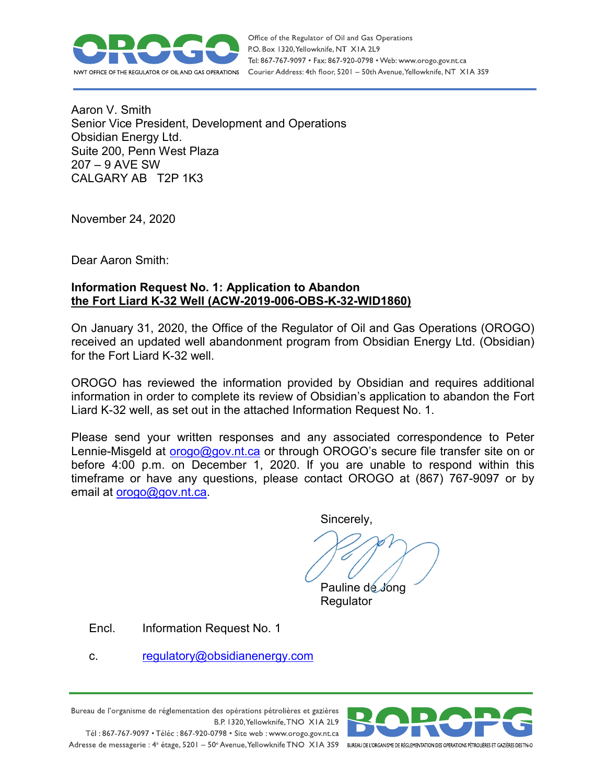

Office of the Regulator of Oil and Gas Operations P.O. Box 1320, Yellowknife, NT XIA 2L9 Tel: 867-767-9097 • Fax: 867-920-0798 • Web: www.orogo.gov.nt.ca Courier Address: 4th floor, 5201 - 50th Avenue, Yellowknife, NT XIA 3S9

Aaron V. Smith Senior Vice President, Development and Operations Obsidian Energy Ltd. Suite 200, Penn West Plaza 207 – 9 AVE SW CALGARY AB T2P 1K3

November 24, 2020

Dear Aaron Smith:

# **Information Request No. 1: Application to Abandon the Fort Liard K-32 Well (ACW-2019-006-OBS-K-32-WID1860)**

On January 31, 2020, the Office of the Regulator of Oil and Gas Operations (OROGO) received an updated well abandonment program from Obsidian Energy Ltd. (Obsidian) for the Fort Liard K-32 well.

OROGO has reviewed the information provided by Obsidian and requires additional information in order to complete its review of Obsidian's application to abandon the Fort Liard K-32 well, as set out in the attached Information Request No. 1.

Please send your written responses and any associated correspondence to Peter Lennie-Misgeld at [orogo@gov.nt.ca](mailto:orogo@gov.nt.ca) or through OROGO's secure file transfer site on or before 4:00 p.m. on December 1, 2020. If you are unable to respond within this timeframe or have any questions, please contact OROGO at (867) 767-9097 or by email at [orogo@gov.nt.ca.](mailto:orogo@gov.nt.ca)

Sincerely,

Pauline de Jong **Regulator** 

Encl. Information Request No. 1

c. regulatory@obsidianenergy.com

Bureau de l'organisme de réglementation des opérations pétrolières et gazières B.P. 1320, Yellowknife, TNO XIA 2L9 Tél: 867-767-9097 • Téléc: 867-920-0798 • Site web: www.orogo.gov.nt.ca

Adresse de messagerie : 4<sup>e</sup> étage, 5201 - 50° Avenue, Yellowknife TNO XIA 3S9 BUREAU DEL'ORGANISME DE RÉGLEMENTATION DES OPERATIONS PÉTROLIÈRES ET GAZIÈRES DESTNO